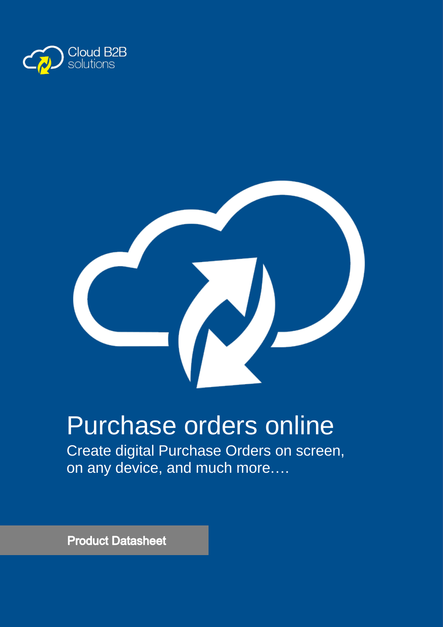



# Purchase orders online

Create digital Purchase Orders on screen, on any device, and much more….

**Product Datasheet**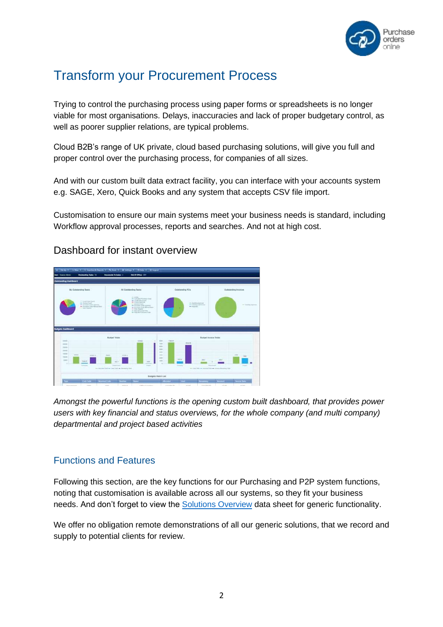

# Transform your Procurement Process

Trying to control the purchasing process using paper forms or spreadsheets is no longer viable for most organisations. Delays, inaccuracies and lack of proper budgetary control, as well as poorer supplier relations, are typical problems.

Cloud B2B's range of UK private, cloud based purchasing solutions, will give you full and proper control over the purchasing process, for companies of all sizes.

And with our custom built data extract facility, you can interface with your accounts system e.g. SAGE, Xero, Quick Books and any system that accepts CSV file import.

Customisation to ensure our main systems meet your business needs is standard, including Workflow approval processes, reports and searches. And not at high cost.



# Dashboard for instant overview

*Amongst the powerful functions is the opening custom built dashboard, that provides power users with key financial and status overviews, for the whole company (and multi company) departmental and project based activities*

# Functions and Features

Following this section, are the key functions for our Purchasing and P2P system functions, noting that customisation is available across all our systems, so they fit your business needs. And don't forget to view the **Solutions Overview** data sheet for generic functionality.

We offer no obligation remote demonstrations of all our generic solutions, that we record and supply to potential clients for review.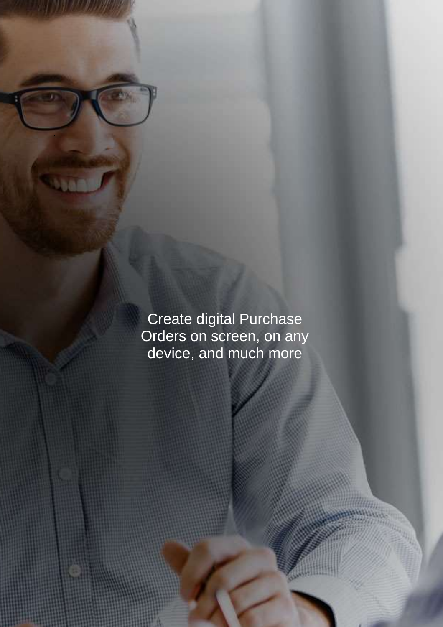Create digital Purchase Orders on screen, on any device, and much more

.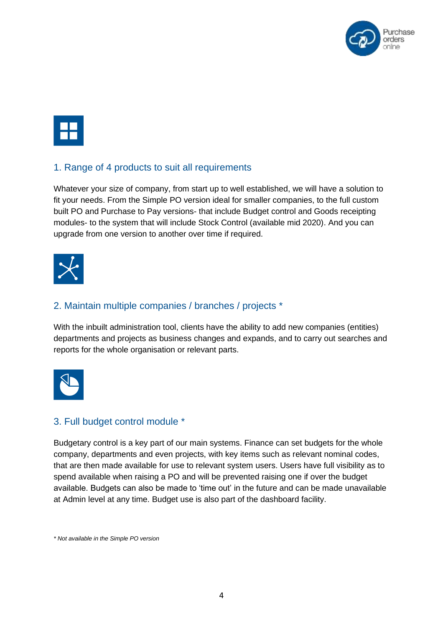

#### 1. Range of 4 products to suit all requirements

Whatever your size of company, from start up to well established, we will have a solution to fit your needs. From the Simple PO version ideal for smaller companies, to the full custom built PO and Purchase to Pay versions- that include Budget control and Goods receipting modules- to the system that will include Stock Control (available mid 2020). And you can upgrade from one version to another over time if required.



#### 2. Maintain multiple companies / branches / projects \*

With the inbuilt administration tool, clients have the ability to add new companies (entities) departments and projects as business changes and expands, and to carry out searches and reports for the whole organisation or relevant parts.



#### 3. Full budget control module \*

Budgetary control is a key part of our main systems. Finance can set budgets for the whole company, departments and even projects, with key items such as relevant nominal codes, that are then made available for use to relevant system users. Users have full visibility as to spend available when raising a PO and will be prevented raising one if over the budget available. Budgets can also be made to 'time out' in the future and can be made unavailable at Admin level at any time. Budget use is also part of the dashboard facility.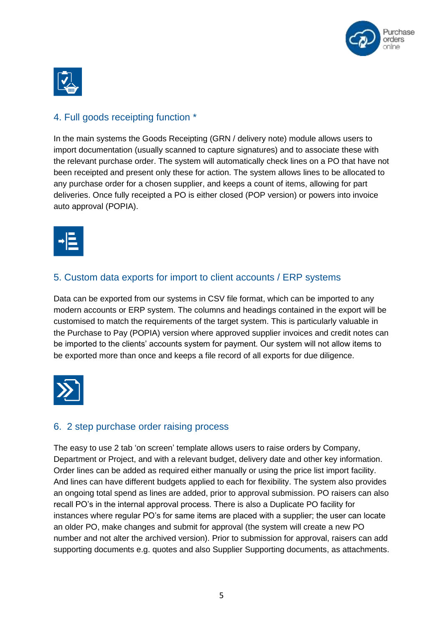



# 4. Full goods receipting function \*

In the main systems the Goods Receipting (GRN / delivery note) module allows users to import documentation (usually scanned to capture signatures) and to associate these with the relevant purchase order. The system will automatically check lines on a PO that have not been receipted and present only these for action. The system allows lines to be allocated to any purchase order for a chosen supplier, and keeps a count of items, allowing for part deliveries. Once fully receipted a PO is either closed (POP version) or powers into invoice auto approval (POPIA).



# 5. Custom data exports for import to client accounts / ERP systems

Data can be exported from our systems in CSV file format, which can be imported to any modern accounts or ERP system. The columns and headings contained in the export will be customised to match the requirements of the target system. This is particularly valuable in the Purchase to Pay (POPIA) version where approved supplier invoices and credit notes can be imported to the clients' accounts system for payment. Our system will not allow items to be exported more than once and keeps a file record of all exports for due diligence.



#### 6. 2 step purchase order raising process

The easy to use 2 tab 'on screen' template allows users to raise orders by Company, Department or Project, and with a relevant budget, delivery date and other key information. Order lines can be added as required either manually or using the price list import facility. And lines can have different budgets applied to each for flexibility. The system also provides an ongoing total spend as lines are added, prior to approval submission. PO raisers can also recall PO's in the internal approval process. There is also a Duplicate PO facility for instances where regular PO's for same items are placed with a supplier; the user can locate an older PO, make changes and submit for approval (the system will create a new PO number and not alter the archived version). Prior to submission for approval, raisers can add supporting documents e.g. quotes and also Supplier Supporting documents, as attachments.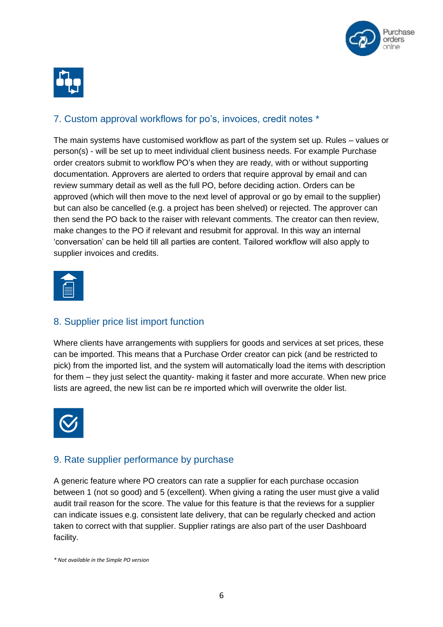



# 7. Custom approval workflows for po's, invoices, credit notes \*

The main systems have customised workflow as part of the system set up. Rules – values or person(s) - will be set up to meet individual client business needs. For example Purchase order creators submit to workflow PO's when they are ready, with or without supporting documentation. Approvers are alerted to orders that require approval by email and can review summary detail as well as the full PO, before deciding action. Orders can be approved (which will then move to the next level of approval or go by email to the supplier) but can also be cancelled (e.g. a project has been shelved) or rejected. The approver can then send the PO back to the raiser with relevant comments. The creator can then review, make changes to the PO if relevant and resubmit for approval. In this way an internal 'conversation' can be held till all parties are content. Tailored workflow will also apply to supplier invoices and credits.



# 8. Supplier price list import function

Where clients have arrangements with suppliers for goods and services at set prices, these can be imported. This means that a Purchase Order creator can pick (and be restricted to pick) from the imported list, and the system will automatically load the items with description for them – they just select the quantity- making it faster and more accurate. When new price lists are agreed, the new list can be re imported which will overwrite the older list.



# 9. Rate supplier performance by purchase

A generic feature where PO creators can rate a supplier for each purchase occasion between 1 (not so good) and 5 (excellent). When giving a rating the user must give a valid audit trail reason for the score. The value for this feature is that the reviews for a supplier can indicate issues e.g. consistent late delivery, that can be regularly checked and action taken to correct with that supplier. Supplier ratings are also part of the user Dashboard facility.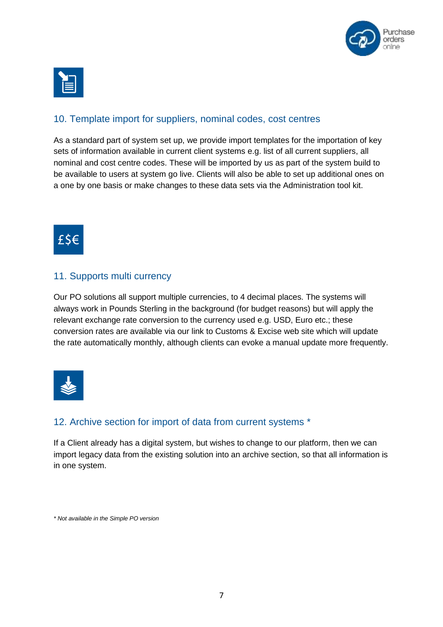



#### 10. Template import for suppliers, nominal codes, cost centres

As a standard part of system set up, we provide import templates for the importation of key sets of information available in current client systems e.g. list of all current suppliers, all nominal and cost centre codes. These will be imported by us as part of the system build to be available to users at system go live. Clients will also be able to set up additional ones on a one by one basis or make changes to these data sets via the Administration tool kit.



#### 11. Supports multi currency

Our PO solutions all support multiple currencies, to 4 decimal places. The systems will always work in Pounds Sterling in the background (for budget reasons) but will apply the relevant exchange rate conversion to the currency used e.g. USD, Euro etc.; these conversion rates are available via our link to Customs & Excise web site which will update the rate automatically monthly, although clients can evoke a manual update more frequently.



# 12. Archive section for import of data from current systems \*

If a Client already has a digital system, but wishes to change to our platform, then we can import legacy data from the existing solution into an archive section, so that all information is in one system.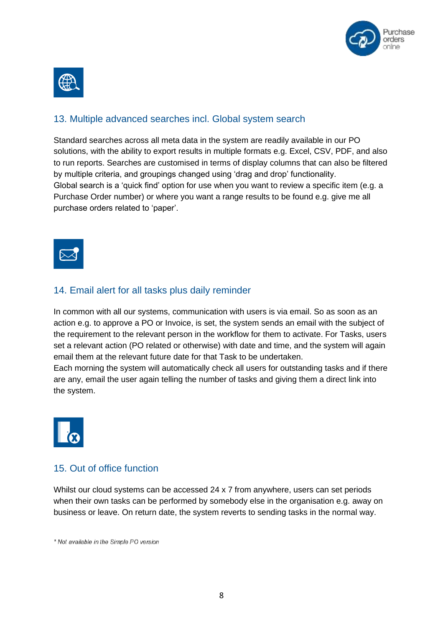



#### 13. Multiple advanced searches incl. Global system search

Standard searches across all meta data in the system are readily available in our PO solutions, with the ability to export results in multiple formats e.g. Excel, CSV, PDF, and also to run reports. Searches are customised in terms of display columns that can also be filtered by multiple criteria, and groupings changed using 'drag and drop' functionality. Global search is a 'quick find' option for use when you want to review a specific item (e.g. a Purchase Order number) or where you want a range results to be found e.g. give me all purchase orders related to 'paper'.



#### 14. Email alert for all tasks plus daily reminder

In common with all our systems, communication with users is via email. So as soon as an action e.g. to approve a PO or Invoice, is set, the system sends an email with the subject of the requirement to the relevant person in the workflow for them to activate. For Tasks, users set a relevant action (PO related or otherwise) with date and time, and the system will again email them at the relevant future date for that Task to be undertaken.

Each morning the system will automatically check all users for outstanding tasks and if there are any, email the user again telling the number of tasks and giving them a direct link into the system.



#### 15. Out of office function

Whilst our cloud systems can be accessed 24 x 7 from anywhere, users can set periods when their own tasks can be performed by somebody else in the organisation e.g. away on business or leave. On return date, the system reverts to sending tasks in the normal way.